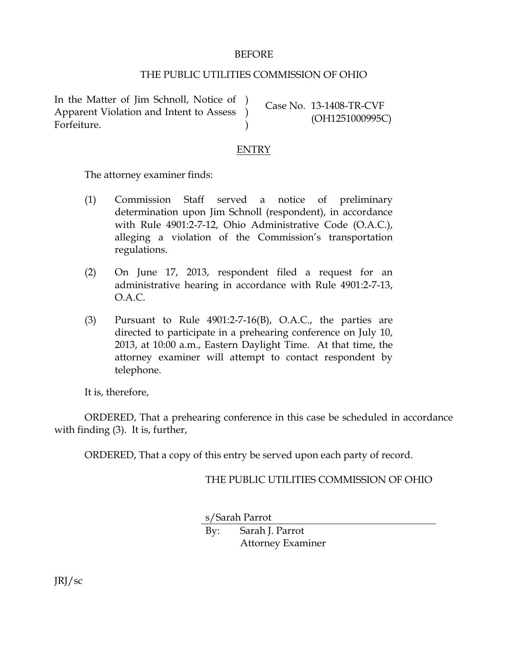## BEFORE

## THE PUBLIC UTILITIES COMMISSION OF OHIO

In the Matter of Jim Schnoll, Notice of ) Apparent Violation and Intent to Assess Forfeiture.

Case No. 13-1408-TR-CVF (OH1251000995C)

## ENTRY

 $\lambda$ )

The attorney examiner finds:

- (1) Commission Staff served a notice of preliminary determination upon Jim Schnoll (respondent), in accordance with Rule 4901:2-7-12, Ohio Administrative Code (O.A.C.), alleging a violation of the Commission's transportation regulations.
- (2) On June 17, 2013, respondent filed a request for an administrative hearing in accordance with Rule 4901:2-7-13, O.A.C.
- (3) Pursuant to Rule  $4901:2-7-16(B)$ , O.A.C., the parties are directed to participate in a prehearing conference on July 10, 2013, at 10:00 a.m., Eastern Daylight Time. At that time, the attorney examiner will attempt to contact respondent by telephone.

It is, therefore,

ORDERED, That a prehearing conference in this case be scheduled in accordance with finding (3). It is, further,

ORDERED, That a copy of this entry be served upon each party of record.

THE PUBLIC UTILITIES COMMISSION OF OHIO

s/Sarah Parrot

By: Sarah J. Parrot Attorney Examiner